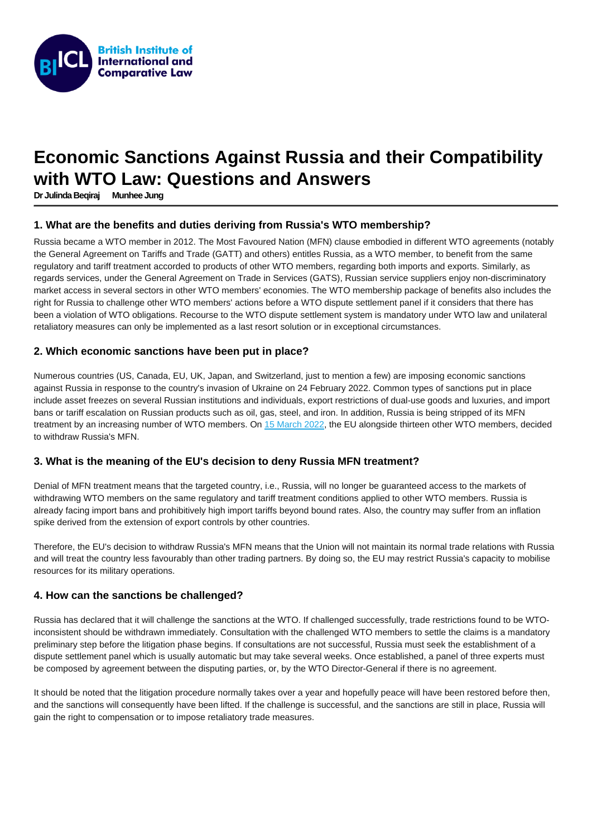# Economic Sanctions Against Russia and their Compatibility with WTO Law: Questions and Answers

[Dr Julinda Beqiraj](https://www.biicl.org/people/julinda-beqiraj) [Munhee Jung](https://www.biicl.org/people/munhee-jung)

## 1. What are the benefits and duties deriving from Russia's WTO membership?

Russia became a WTO member in 2012. The Most Favoured Nation (MFN) clause embodied in different WTO agreements (notably the General Agreement on Tariffs and Trade (GATT) and others) entitles Russia, as a WTO member, to benefit from the same regulatory and tariff treatment accorded to products of other WTO members, regarding both imports and exports. Similarly, as regards services, under the General Agreement on Trade in Services (GATS), Russian service suppliers enjoy non-discriminatory market access in several sectors in other WTO members' economies. The WTO membership package of benefits also includes the right for Russia to challenge other WTO members' actions before a WTO dispute settlement panel if it considers that there has been a violation of WTO obligations. Recourse to the WTO dispute settlement system is mandatory under WTO law and unilateral retaliatory measures can only be implemented as a last resort solution or in exceptional circumstances.

## 2. Which economic sanctions have been put in place?

Numerous countries (US, Canada, EU, UK, Japan, and Switzerland, just to mention a few) are imposing economic sanctions against Russia in response to the country's invasion of Ukraine on 24 February 2022. Common types of sanctions put in place include asset freezes on several Russian institutions and individuals, export restrictions of dual-use goods and luxuries, and import bans or tariff escalation on Russian products such as oil, gas, steel, and iron. In addition, Russia is being stripped of its MFN treatment by an increasing number of WTO members. On [15 March 2022](https://ec.europa.eu/commission/presscorner/detail/en/ip_22_1761), the EU alongside thirteen other WTO members, decided to withdraw Russia's MFN.

#### 3. What is the meaning of the EU's decision to deny Russia MFN treatment?

Denial of MFN treatment means that the targeted country, i.e., Russia, will no longer be guaranteed access to the markets of withdrawing WTO members on the same regulatory and tariff treatment conditions applied to other WTO members. Russia is already facing import bans and prohibitively high import tariffs beyond bound rates. Also, the country may suffer from an inflation spike derived from the extension of export controls by other countries.

Therefore, the EU's decision to withdraw Russia's MFN means that the Union will not maintain its normal trade relations with Russia and will treat the country less favourably than other trading partners. By doing so, the EU may restrict Russia's capacity to mobilise resources for its military operations.

#### 4. How can the sanctions be challenged?

Russia has declared that it will challenge the sanctions at the WTO. If challenged successfully, trade restrictions found to be WTOinconsistent should be withdrawn immediately. Consultation with the challenged WTO members to settle the claims is a mandatory preliminary step before the litigation phase begins. If consultations are not successful, Russia must seek the establishment of a dispute settlement panel which is usually automatic but may take several weeks. Once established, a panel of three experts must be composed by agreement between the disputing parties, or, by the WTO Director-General if there is no agreement.

It should be noted that the litigation procedure normally takes over a year and hopefully peace will have been restored before then, and the sanctions will consequently have been lifted. If the challenge is successful, and the sanctions are still in place, Russia will gain the right to compensation or to impose retaliatory trade measures.